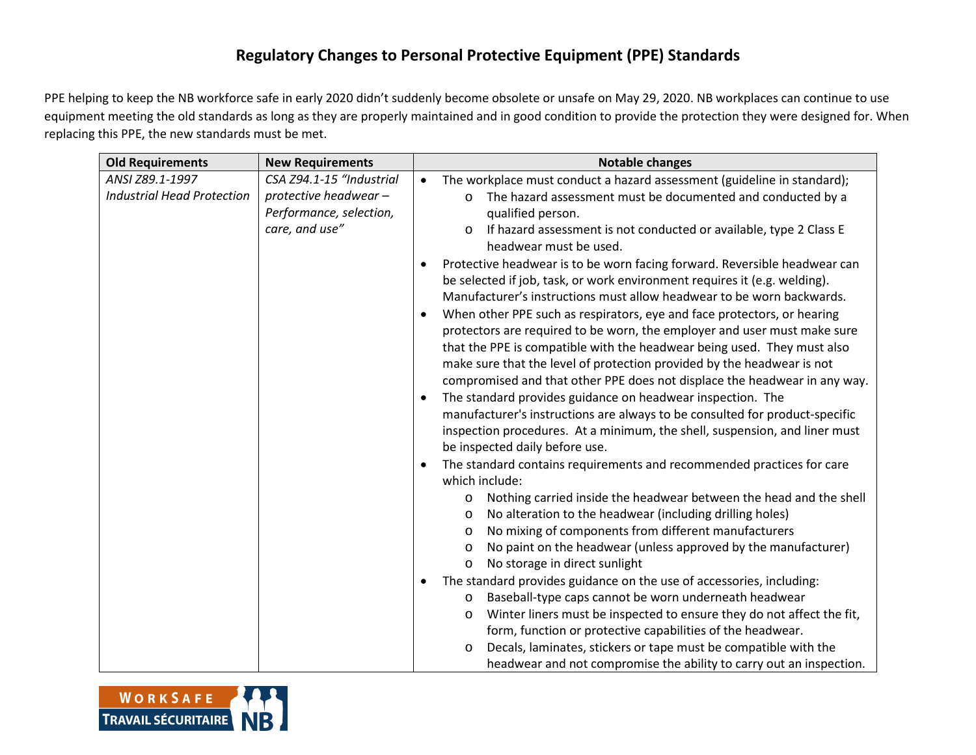## **Regulatory Changes to Personal Protective Equipment (PPE) Standards**

PPE helping to keep the NB workforce safe in early 2020 didn't suddenly become obsolete or unsafe on May 29, 2020. NB workplaces can continue to use equipment meeting the old standards as long as they are properly maintained and in good condition to provide the protection they were designed for. When replacing this PPE, the new standards must be met.

| <b>Old Requirements</b>           | <b>New Requirements</b>  | <b>Notable changes</b>                                                        |  |
|-----------------------------------|--------------------------|-------------------------------------------------------------------------------|--|
| ANSI Z89.1-1997                   | CSA Z94.1-15 "Industrial | The workplace must conduct a hazard assessment (guideline in standard);<br>٠  |  |
| <b>Industrial Head Protection</b> | protective headwear -    | The hazard assessment must be documented and conducted by a<br>$\circ$        |  |
|                                   | Performance, selection,  | qualified person.                                                             |  |
|                                   | care, and use"           | If hazard assessment is not conducted or available, type 2 Class E<br>$\circ$ |  |
|                                   |                          | headwear must be used.                                                        |  |
|                                   |                          | Protective headwear is to be worn facing forward. Reversible headwear can     |  |
|                                   |                          | be selected if job, task, or work environment requires it (e.g. welding).     |  |
|                                   |                          | Manufacturer's instructions must allow headwear to be worn backwards.         |  |
|                                   |                          | When other PPE such as respirators, eye and face protectors, or hearing       |  |
|                                   |                          | protectors are required to be worn, the employer and user must make sure      |  |
|                                   |                          | that the PPE is compatible with the headwear being used. They must also       |  |
|                                   |                          | make sure that the level of protection provided by the headwear is not        |  |
|                                   |                          | compromised and that other PPE does not displace the headwear in any way.     |  |
|                                   |                          | The standard provides guidance on headwear inspection. The<br>$\bullet$       |  |
|                                   |                          | manufacturer's instructions are always to be consulted for product-specific   |  |
|                                   |                          | inspection procedures. At a minimum, the shell, suspension, and liner must    |  |
|                                   |                          | be inspected daily before use.                                                |  |
|                                   |                          | The standard contains requirements and recommended practices for care         |  |
|                                   |                          | which include:                                                                |  |
|                                   |                          | Nothing carried inside the headwear between the head and the shell<br>O       |  |
|                                   |                          | No alteration to the headwear (including drilling holes)<br>O                 |  |
|                                   |                          | No mixing of components from different manufacturers<br>$\circ$               |  |
|                                   |                          | No paint on the headwear (unless approved by the manufacturer)<br>$\circ$     |  |
|                                   |                          | No storage in direct sunlight<br>O                                            |  |
|                                   |                          | The standard provides guidance on the use of accessories, including:          |  |
|                                   |                          | Baseball-type caps cannot be worn underneath headwear<br>O                    |  |
|                                   |                          | Winter liners must be inspected to ensure they do not affect the fit,<br>O    |  |
|                                   |                          | form, function or protective capabilities of the headwear.                    |  |
|                                   |                          | Decals, laminates, stickers or tape must be compatible with the<br>O          |  |
|                                   |                          | headwear and not compromise the ability to carry out an inspection.           |  |

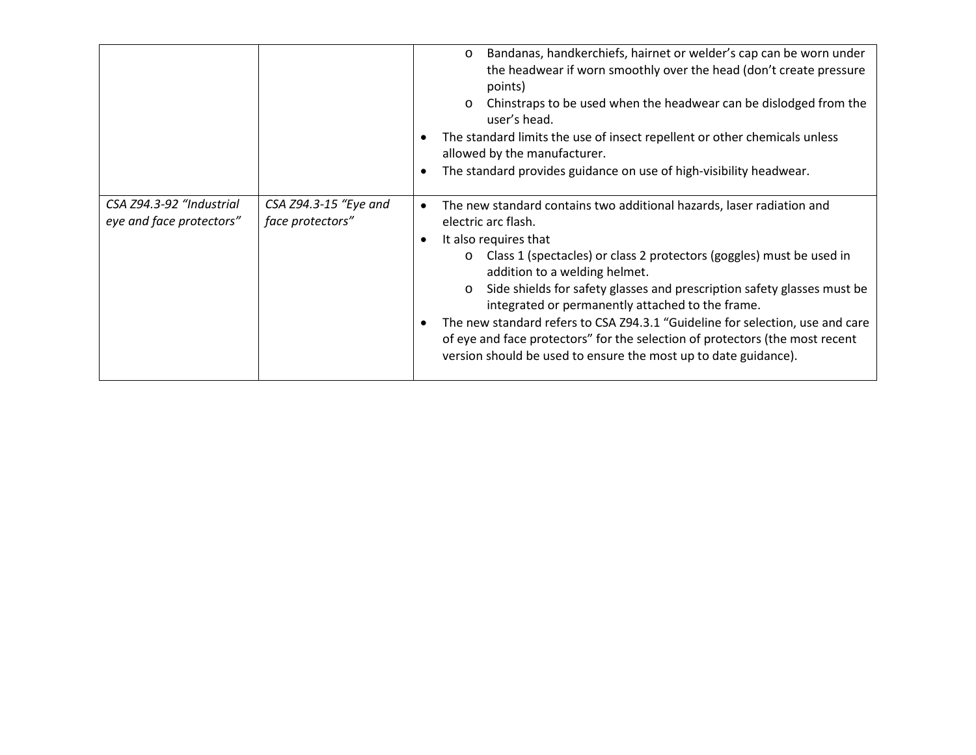|                                                      |                                           | Bandanas, handkerchiefs, hairnet or welder's cap can be worn under<br>$\circ$<br>the headwear if worn smoothly over the head (don't create pressure<br>points)<br>Chinstraps to be used when the headwear can be dislodged from the<br>$\circ$<br>user's head.<br>The standard limits the use of insect repellent or other chemicals unless<br>allowed by the manufacturer.<br>The standard provides guidance on use of high-visibility headwear.<br>٠                                                                                                                                                                                        |
|------------------------------------------------------|-------------------------------------------|-----------------------------------------------------------------------------------------------------------------------------------------------------------------------------------------------------------------------------------------------------------------------------------------------------------------------------------------------------------------------------------------------------------------------------------------------------------------------------------------------------------------------------------------------------------------------------------------------------------------------------------------------|
| CSA Z94.3-92 "Industrial<br>eye and face protectors" | CSA Z94.3-15 "Eye and<br>face protectors" | The new standard contains two additional hazards, laser radiation and<br>$\bullet$<br>electric arc flash.<br>It also requires that<br>٠<br>o Class 1 (spectacles) or class 2 protectors (goggles) must be used in<br>addition to a welding helmet.<br>Side shields for safety glasses and prescription safety glasses must be<br>$\circ$<br>integrated or permanently attached to the frame.<br>The new standard refers to CSA Z94.3.1 "Guideline for selection, use and care<br>$\bullet$<br>of eye and face protectors" for the selection of protectors (the most recent<br>version should be used to ensure the most up to date guidance). |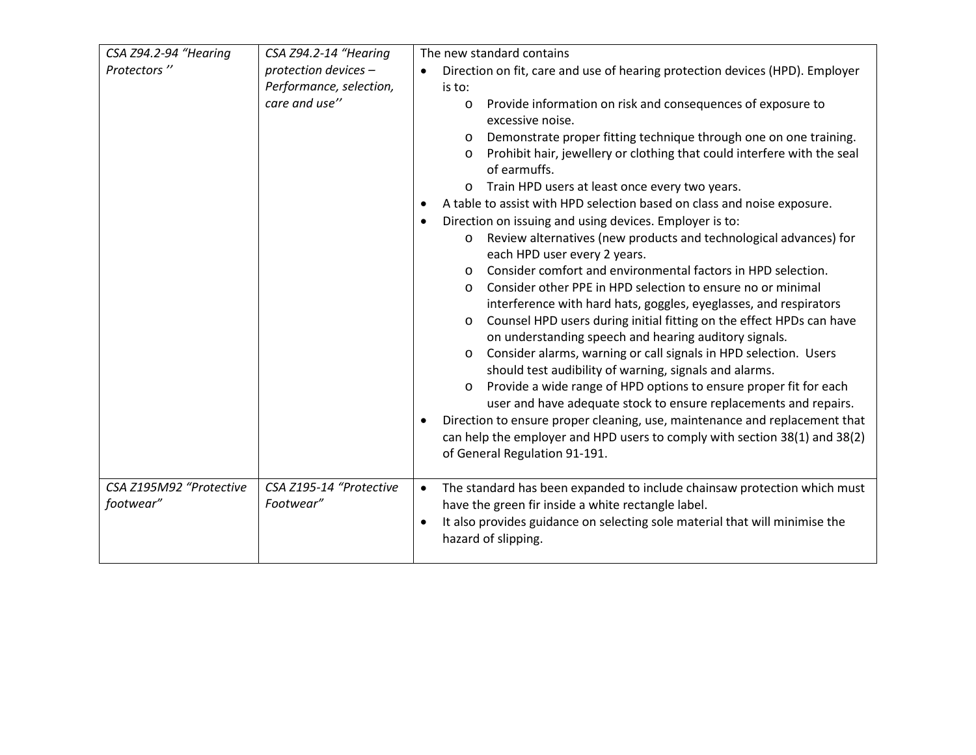| CSA Z94.2-94 "Hearing   | CSA Z94.2-14 "Hearing   | The new standard contains                                                                                                                   |  |  |  |
|-------------------------|-------------------------|---------------------------------------------------------------------------------------------------------------------------------------------|--|--|--|
| Protectors"             | protection devices -    | Direction on fit, care and use of hearing protection devices (HPD). Employer                                                                |  |  |  |
|                         | Performance, selection, | is to:                                                                                                                                      |  |  |  |
|                         | care and use"           | Provide information on risk and consequences of exposure to<br>$\circ$                                                                      |  |  |  |
|                         |                         | excessive noise.                                                                                                                            |  |  |  |
|                         |                         | Demonstrate proper fitting technique through one on one training.<br>$\circ$                                                                |  |  |  |
|                         |                         | Prohibit hair, jewellery or clothing that could interfere with the seal<br>$\circ$<br>of earmuffs.                                          |  |  |  |
|                         |                         | Train HPD users at least once every two years.                                                                                              |  |  |  |
|                         |                         | A table to assist with HPD selection based on class and noise exposure.                                                                     |  |  |  |
|                         |                         | Direction on issuing and using devices. Employer is to:                                                                                     |  |  |  |
|                         |                         | Review alternatives (new products and technological advances) for<br>$\circ$<br>each HPD user every 2 years.                                |  |  |  |
|                         |                         | Consider comfort and environmental factors in HPD selection.<br>$\Omega$                                                                    |  |  |  |
|                         |                         | Consider other PPE in HPD selection to ensure no or minimal<br>$\circ$                                                                      |  |  |  |
|                         |                         | interference with hard hats, goggles, eyeglasses, and respirators                                                                           |  |  |  |
|                         |                         | Counsel HPD users during initial fitting on the effect HPDs can have<br>$\circ$                                                             |  |  |  |
|                         |                         | on understanding speech and hearing auditory signals.                                                                                       |  |  |  |
|                         |                         | Consider alarms, warning or call signals in HPD selection. Users<br>O                                                                       |  |  |  |
|                         |                         | should test audibility of warning, signals and alarms.                                                                                      |  |  |  |
|                         |                         | Provide a wide range of HPD options to ensure proper fit for each<br>$\circ$                                                                |  |  |  |
|                         |                         | user and have adequate stock to ensure replacements and repairs.                                                                            |  |  |  |
|                         |                         | Direction to ensure proper cleaning, use, maintenance and replacement that                                                                  |  |  |  |
|                         |                         | can help the employer and HPD users to comply with section 38(1) and 38(2)                                                                  |  |  |  |
|                         |                         | of General Regulation 91-191.                                                                                                               |  |  |  |
|                         |                         |                                                                                                                                             |  |  |  |
| CSA Z195M92 "Protective | CSA Z195-14 "Protective | The standard has been expanded to include chainsaw protection which must<br>$\bullet$<br>have the green fir inside a white rectangle label. |  |  |  |
| footwear"               | Footwear"               |                                                                                                                                             |  |  |  |
|                         |                         | It also provides guidance on selecting sole material that will minimise the<br>hazard of slipping.                                          |  |  |  |
|                         |                         |                                                                                                                                             |  |  |  |